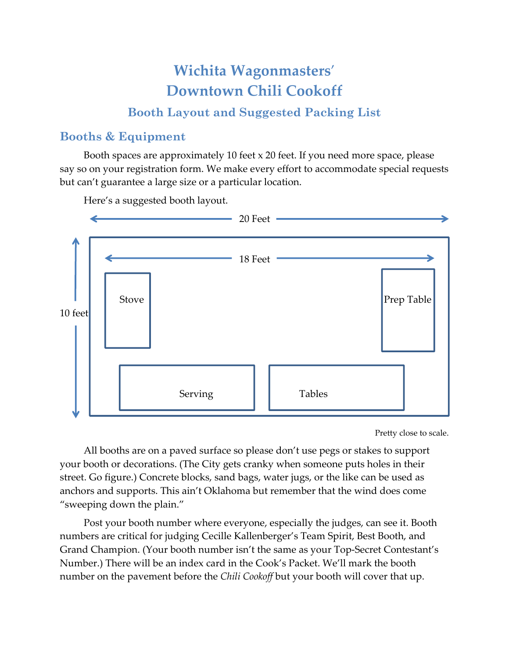# **Wichita Wagonmasters**' **Downtown Chili Cookoff**

## **Booth Layout and Suggested Packing List**

#### **Booths & Equipment**

Booth spaces are approximately 10 feet x 20 feet. If you need more space, please say so on your registration form. We make every effort to accommodate special requests but can't guarantee a large size or a particular location.

Here's a suggested booth layout.



Pretty close to scale.

All booths are on a paved surface so please don't use pegs or stakes to support your booth or decorations. (The City gets cranky when someone puts holes in their street. Go figure.) Concrete blocks, sand bags, water jugs, or the like can be used as anchors and supports. This ain't Oklahoma but remember that the wind does come "sweeping down the plain."

Post your booth number where everyone, especially the judges, can see it. Booth numbers are critical for judging Cecille Kallenberger's Team Spirit, Best Booth, and Grand Champion. (Your booth number isn't the same as your Top-Secret Contestant's Number.) There will be an index card in the Cook's Packet. We'll mark the booth number on the pavement before the *Chili Cookoff* but your booth will cover that up.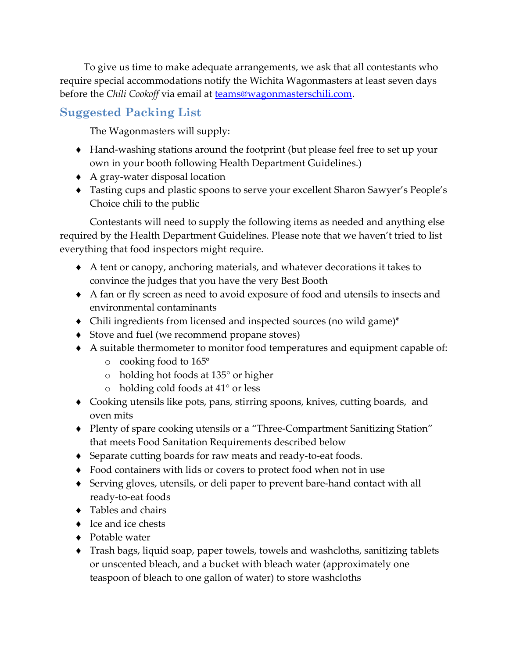To give us time to make adequate arrangements, we ask that all contestants who require special accommodations notify the Wichita Wagonmasters at least seven days before the *Chili Cookoff* via email at teams@wagonmasterschili.com.

### **Suggested Packing List**

The Wagonmasters will supply:

- ◆ Hand-washing stations around the footprint (but please feel free to set up your own in your booth following Health Department Guidelines.)
- ◆ A gray-water disposal location
- Tasting cups and plastic spoons to serve your excellent Sharon Sawyer's People's Choice chili to the public

Contestants will need to supply the following items as needed and anything else required by the Health Department Guidelines. Please note that we haven't tried to list everything that food inspectors might require.

- A tent or canopy, anchoring materials, and whatever decorations it takes to convince the judges that you have the very Best Booth
- A fan or fly screen as need to avoid exposure of food and utensils to insects and environmental contaminants
- Chili ingredients from licensed and inspected sources (no wild game)\*
- ◆ Stove and fuel (we recommend propane stoves)
- A suitable thermometer to monitor food temperatures and equipment capable of:
	- o cooking food to 165°
	- o holding hot foods at 135° or higher
	- o holding cold foods at 41° or less
- Cooking utensils like pots, pans, stirring spoons, knives, cutting boards, and oven mits
- ◆ Plenty of spare cooking utensils or a "Three-Compartment Sanitizing Station" that meets Food Sanitation Requirements described below
- ◆ Separate cutting boards for raw meats and ready-to-eat foods.
- Food containers with lids or covers to protect food when not in use
- ◆ Serving gloves, utensils, or deli paper to prevent bare-hand contact with all ready‐to‐eat foods
- ◆ Tables and chairs
- $\bullet$  Ice and ice chests
- ◆ Potable water
- Trash bags, liquid soap, paper towels, towels and washcloths, sanitizing tablets or unscented bleach, and a bucket with bleach water (approximately one teaspoon of bleach to one gallon of water) to store washcloths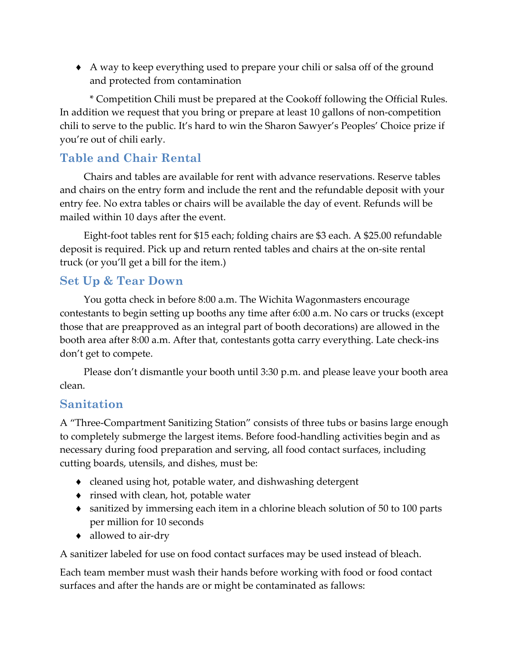A way to keep everything used to prepare your chili or salsa off of the ground and protected from contamination

\* Competition Chili must be prepared at the Cookoff following the Official Rules. In addition we request that you bring or prepare at least 10 gallons of non‐competition chili to serve to the public. It's hard to win the Sharon Sawyer's Peoples' Choice prize if you're out of chili early.

# **Table and Chair Rental**

Chairs and tables are available for rent with advance reservations. Reserve tables and chairs on the entry form and include the rent and the refundable deposit with your entry fee. No extra tables or chairs will be available the day of event. Refunds will be mailed within 10 days after the event.

Eight‐foot tables rent for \$15 each; folding chairs are \$3 each. A \$25.00 refundable deposit is required. Pick up and return rented tables and chairs at the on‐site rental truck (or you'll get a bill for the item.)

### **Set Up & Tear Down**

You gotta check in before 8:00 a.m. The Wichita Wagonmasters encourage contestants to begin setting up booths any time after 6:00 a.m. No cars or trucks (except those that are preapproved as an integral part of booth decorations) are allowed in the booth area after 8:00 a.m. After that, contestants gotta carry everything. Late check‐ins don't get to compete.

Please don't dismantle your booth until 3:30 p.m. and please leave your booth area clean.

#### **Sanitation**

A "Three‐Compartment Sanitizing Station" consists of three tubs or basins large enough to completely submerge the largest items. Before food‐handling activities begin and as necessary during food preparation and serving, all food contact surfaces, including cutting boards, utensils, and dishes, must be:

- cleaned using hot, potable water, and dishwashing detergent
- rinsed with clean, hot, potable water
- sanitized by immersing each item in a chlorine bleach solution of 50 to 100 parts per million for 10 seconds
- ◆ allowed to air-dry

A sanitizer labeled for use on food contact surfaces may be used instead of bleach.

Each team member must wash their hands before working with food or food contact surfaces and after the hands are or might be contaminated as fallows: